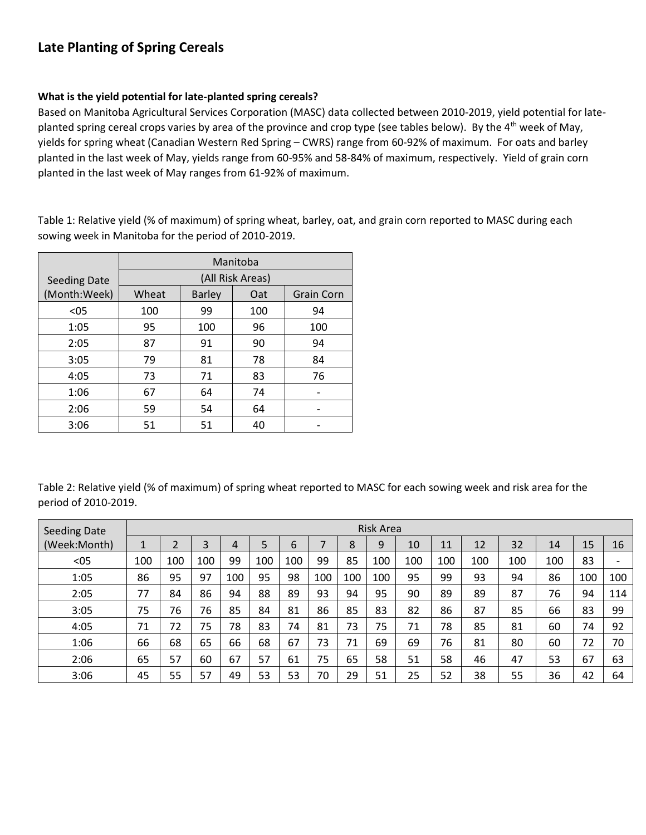# **Late Planting of Spring Cereals**

# **What is the yield potential for late-planted spring cereals?**

Based on Manitoba Agricultural Services Corporation (MASC) data collected between 2010-2019, yield potential for lateplanted spring cereal crops varies by area of the province and crop type (see tables below). By the 4<sup>th</sup> week of May, yields for spring wheat (Canadian Western Red Spring – CWRS) range from 60-92% of maximum. For oats and barley planted in the last week of May, yields range from 60-95% and 58-84% of maximum, respectively. Yield of grain corn planted in the last week of May ranges from 61-92% of maximum.

Table 1: Relative yield (% of maximum) of spring wheat, barley, oat, and grain corn reported to MASC during each sowing week in Manitoba for the period of 2010-2019.

|                     | Manitoba |               |     |                   |  |  |  |  |  |  |  |
|---------------------|----------|---------------|-----|-------------------|--|--|--|--|--|--|--|
| <b>Seeding Date</b> |          |               |     |                   |  |  |  |  |  |  |  |
| (Month:Week)        | Wheat    | <b>Barley</b> | Oat | <b>Grain Corn</b> |  |  |  |  |  |  |  |
| $05$                | 100      | 99            | 100 | 94                |  |  |  |  |  |  |  |
| 1:05                | 95       | 100           | 96  | 100               |  |  |  |  |  |  |  |
| 2:05                | 87       | 91            | 90  | 94                |  |  |  |  |  |  |  |
| 3:05                | 79       | 81            | 78  | 84                |  |  |  |  |  |  |  |
| 4:05                | 73       | 71            | 83  | 76                |  |  |  |  |  |  |  |
| 1:06                | 67       | 64            | 74  |                   |  |  |  |  |  |  |  |
| 2:06                | 59       | 54            | 64  |                   |  |  |  |  |  |  |  |
| 3:06                | 51       | 51            | 40  |                   |  |  |  |  |  |  |  |

Table 2: Relative yield (% of maximum) of spring wheat reported to MASC for each sowing week and risk area for the period of 2010-2019.

| <b>Seeding Date</b> |     |     |     |     |     |     |     |     | Risk Area |     |     |     |     |     |     |     |
|---------------------|-----|-----|-----|-----|-----|-----|-----|-----|-----------|-----|-----|-----|-----|-----|-----|-----|
| (Week:Month)        |     | 2   | 3   | 4   | 5   | 6   |     | 8   | 9         | 10  | 11  | 12  | 32  | 14  | 15  | 16  |
| $05$                | 100 | 100 | 100 | 99  | 100 | 100 | 99  | 85  | 100       | 100 | 100 | 100 | 100 | 100 | 83  |     |
| 1:05                | 86  | 95  | 97  | 100 | 95  | 98  | 100 | 100 | 100       | 95  | 99  | 93  | 94  | 86  | 100 | 100 |
| 2:05                | 77  | 84  | 86  | 94  | 88  | 89  | 93  | 94  | 95        | 90  | 89  | 89  | 87  | 76  | 94  | 114 |
| 3:05                | 75  | 76  | 76  | 85  | 84  | 81  | 86  | 85  | 83        | 82  | 86  | 87  | 85  | 66  | 83  | 99  |
| 4:05                | 71  | 72  | 75  | 78  | 83  | 74  | 81  | 73  | 75        | 71  | 78  | 85  | 81  | 60  | 74  | 92  |
| 1:06                | 66  | 68  | 65  | 66  | 68  | 67  | 73  | 71  | 69        | 69  | 76  | 81  | 80  | 60  | 72  | 70  |
| 2:06                | 65  | 57  | 60  | 67  | 57  | 61  | 75  | 65  | 58        | 51  | 58  | 46  | 47  | 53  | 67  | 63  |
| 3:06                | 45  | 55  | 57  | 49  | 53  | 53  | 70  | 29  | 51        | 25  | 52  | 38  | 55  | 36  | 42  | 64  |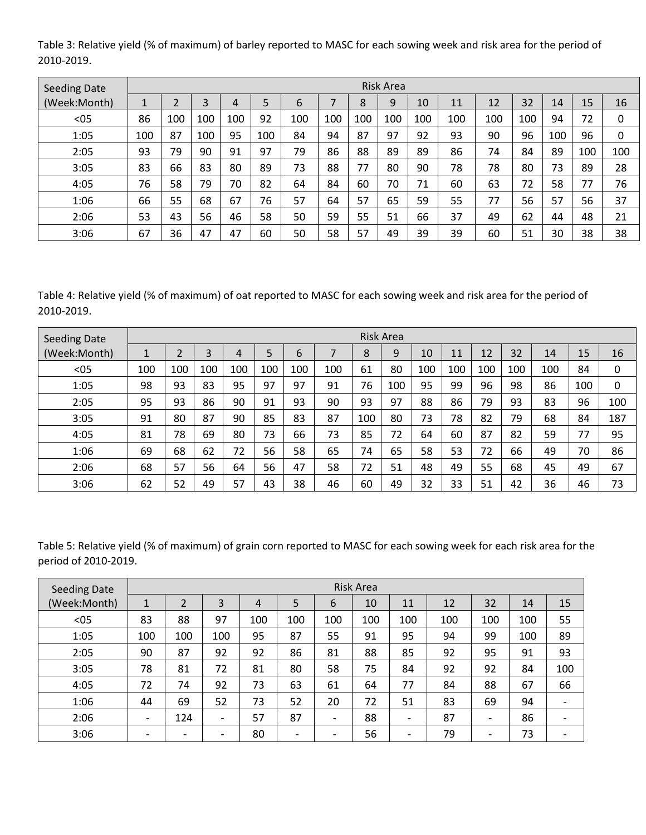Table 3: Relative yield (% of maximum) of barley reported to MASC for each sowing week and risk area for the period of 2010-2019.

| Seeding Date |     |     |     |     |     |     |     |     | <b>Risk Area</b> |     |     |     |     |     |     |     |
|--------------|-----|-----|-----|-----|-----|-----|-----|-----|------------------|-----|-----|-----|-----|-----|-----|-----|
| (Week:Month) | ÷.  |     | 3   | 4   | 5   | 6   |     | 8   | 9                | 10  | 11  | 12  | 32  | 14  | 15  | 16  |
| $05$         | 86  | 100 | 100 | 100 | 92  | 100 | 100 | 100 | 100              | 100 | 100 | 100 | 100 | 94  | 72  | 0   |
| 1:05         | 100 | 87  | 100 | 95  | 100 | 84  | 94  | 87  | 97               | 92  | 93  | 90  | 96  | 100 | 96  | 0   |
| 2:05         | 93  | 79  | 90  | 91  | 97  | 79  | 86  | 88  | 89               | 89  | 86  | 74  | 84  | 89  | 100 | 100 |
| 3:05         | 83  | 66  | 83  | 80  | 89  | 73  | 88  | 77  | 80               | 90  | 78  | 78  | 80  | 73  | 89  | 28  |
| 4:05         | 76  | 58  | 79  | 70  | 82  | 64  | 84  | 60  | 70               | 71  | 60  | 63  | 72  | 58  | 77  | 76  |
| 1:06         | 66  | 55  | 68  | 67  | 76  | 57  | 64  | 57  | 65               | 59  | 55  | 77  | 56  | 57  | 56  | 37  |
| 2:06         | 53  | 43  | 56  | 46  | 58  | 50  | 59  | 55  | 51               | 66  | 37  | 49  | 62  | 44  | 48  | 21  |
| 3:06         | 67  | 36  | 47  | 47  | 60  | 50  | 58  | 57  | 49               | 39  | 39  | 60  | 51  | 30  | 38  | 38  |

Table 4: Relative yield (% of maximum) of oat reported to MASC for each sowing week and risk area for the period of 2010-2019.

| <b>Seeding Date</b> |                                     |     |     |     |     |     |     |     | <b>Risk Area</b> |     |     |     |     |     |     |     |
|---------------------|-------------------------------------|-----|-----|-----|-----|-----|-----|-----|------------------|-----|-----|-----|-----|-----|-----|-----|
| (Week:Month)        | $\overline{\mathbf{A}}$<br><b>L</b> |     | 3   | 4   |     | 6   |     | 8   | 9                | 10  | 11  | 12  | 32  | 14  | 15  | 16  |
| $05$                | 100                                 | 100 | 100 | 100 | 100 | 100 | 100 | 61  | 80               | 100 | 100 | 100 | 100 | 100 | 84  | 0   |
| 1:05                | 98                                  | 93  | 83  | 95  | 97  | 97  | 91  | 76  | 100              | 95  | 99  | 96  | 98  | 86  | 100 | 0   |
| 2:05                | 95                                  | 93  | 86  | 90  | 91  | 93  | 90  | 93  | 97               | 88  | 86  | 79  | 93  | 83  | 96  | 100 |
| 3:05                | 91                                  | 80  | 87  | 90  | 85  | 83  | 87  | 100 | 80               | 73  | 78  | 82  | 79  | 68  | 84  | 187 |
| 4:05                | 81                                  | 78  | 69  | 80  | 73  | 66  | 73  | 85  | 72               | 64  | 60  | 87  | 82  | 59  | 77  | 95  |
| 1:06                | 69                                  | 68  | 62  | 72  | 56  | 58  | 65  | 74  | 65               | 58  | 53  | 72  | 66  | 49  | 70  | 86  |
| 2:06                | 68                                  | 57  | 56  | 64  | 56  | 47  | 58  | 72  | 51               | 48  | 49  | 55  | 68  | 45  | 49  | 67  |
| 3:06                | 62                                  | 52  | 49  | 57  | 43  | 38  | 46  | 60  | 49               | 32  | 33  | 51  | 42  | 36  | 46  | 73  |

Table 5: Relative yield (% of maximum) of grain corn reported to MASC for each sowing week for each risk area for the period of 2010-2019.

| <b>Seeding Date</b> |                          |                          |                          |     |                          |                          | <b>Risk Area</b> |                          |     |                          |     |     |
|---------------------|--------------------------|--------------------------|--------------------------|-----|--------------------------|--------------------------|------------------|--------------------------|-----|--------------------------|-----|-----|
| (Week:Month)        | 1                        | $\overline{2}$           | 3                        | 4   | 5                        | 6                        | 10               | 11                       | 12  | 32                       | 14  | 15  |
| $05$                | 83                       | 88                       | 97                       | 100 | 100                      | 100                      | 100              | 100                      | 100 | 100                      | 100 | 55  |
| 1:05                | 100                      | 100                      | 100                      | 95  | 87                       | 55                       | 91               | 95                       | 94  | 99                       | 100 | 89  |
| 2:05                | 90                       | 87                       | 92                       | 92  | 86                       | 81                       | 88               | 85                       | 92  | 95                       | 91  | 93  |
| 3:05                | 78                       | 81                       | 72                       | 81  | 80                       | 58                       | 75               | 84                       | 92  | 92                       | 84  | 100 |
| 4:05                | 72                       | 74                       | 92                       | 73  | 63                       | 61                       | 64               | 77                       | 84  | 88                       | 67  | 66  |
| 1:06                | 44                       | 69                       | 52                       | 73  | 52                       | 20                       | 72               | 51                       | 83  | 69                       | 94  |     |
| 2:06                | $\overline{\phantom{a}}$ | 124                      | $\overline{\phantom{a}}$ | 57  | 87                       | $\overline{\phantom{a}}$ | 88               | $\overline{\phantom{a}}$ | 87  |                          | 86  |     |
| 3:06                | $\overline{\phantom{a}}$ | $\overline{\phantom{0}}$ | $\overline{\phantom{a}}$ | 80  | $\overline{\phantom{a}}$ | $\overline{\phantom{a}}$ | 56               | $\overline{\phantom{0}}$ | 79  | $\overline{\phantom{0}}$ | 73  |     |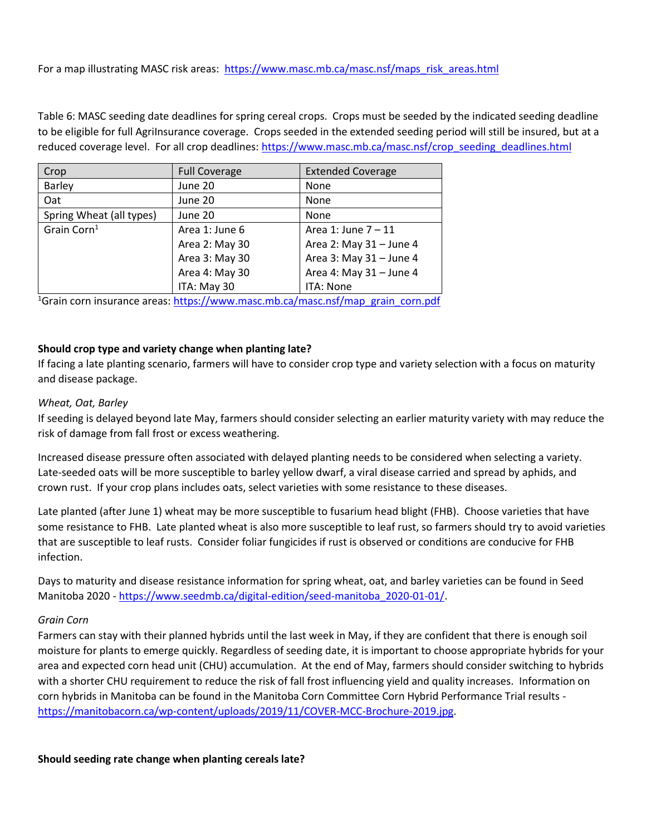For a map illustrating MASC risk areas: [https://www.masc.mb.ca/masc.nsf/maps\\_risk\\_areas.html](https://www.masc.mb.ca/masc.nsf/maps_risk_areas.html)

Table 6: MASC seeding date deadlines for spring cereal crops. Crops must be seeded by the indicated seeding deadline to be eligible for full AgriInsurance coverage. Crops seeded in the extended seeding period will still be insured, but at a reduced coverage level. For all crop deadlines: [https://www.masc.mb.ca/masc.nsf/crop\\_seeding\\_deadlines.html](https://www.masc.mb.ca/masc.nsf/crop_seeding_deadlines.html)

| Crop                     | <b>Full Coverage</b> | <b>Extended Coverage</b> |
|--------------------------|----------------------|--------------------------|
| <b>Barley</b>            | June 20              | None                     |
| Oat                      | June 20              | None                     |
| Spring Wheat (all types) | June 20              | None                     |
| Grain Corn <sup>1</sup>  | Area 1: June 6       | Area 1: June $7-11$      |
|                          | Area 2: May 30       | Area 2: May 31 - June 4  |
|                          | Area 3: May 30       | Area 3: May 31 - June 4  |
|                          | Area 4: May 30       | Area 4: May 31 - June 4  |
|                          | ITA: May 30          | ITA: None                |

<sup>1</sup>Grain corn insurance areas: [https://www.masc.mb.ca/masc.nsf/map\\_grain\\_corn.pdf](https://www.masc.mb.ca/masc.nsf/map_grain_corn.pdf)

# **Should crop type and variety change when planting late?**

If facing a late planting scenario, farmers will have to consider crop type and variety selection with a focus on maturity and disease package.

#### *Wheat, Oat, Barley*

If seeding is delayed beyond late May, farmers should consider selecting an earlier maturity variety with may reduce the risk of damage from fall frost or excess weathering.

Increased disease pressure often associated with delayed planting needs to be considered when selecting a variety. Late-seeded oats will be more susceptible to barley yellow dwarf, a viral disease carried and spread by aphids, and crown rust. If your crop plans includes oats, select varieties with some resistance to these diseases.

Late planted (after June 1) wheat may be more susceptible to fusarium head blight (FHB). Choose varieties that have some resistance to FHB. Late planted wheat is also more susceptible to leaf rust, so farmers should try to avoid varieties that are susceptible to leaf rusts. Consider foliar fungicides if rust is observed or conditions are conducive for FHB infection.

Days to maturity and disease resistance information for spring wheat, oat, and barley varieties can be found in Seed Manitoba 2020 - [https://www.seedmb.ca/digital-edition/seed-manitoba\\_2020-01-01/.](https://www.seedmb.ca/digital-edition/seed-manitoba_2020-01-01/)

#### *Grain Corn*

Farmers can stay with their planned hybrids until the last week in May, if they are confident that there is enough soil moisture for plants to emerge quickly. Regardless of seeding date, it is important to choose appropriate hybrids for your area and expected corn head unit (CHU) accumulation. At the end of May, farmers should consider switching to hybrids with a shorter CHU requirement to reduce the risk of fall frost influencing yield and quality increases. Information on corn hybrids in Manitoba can be found in the Manitoba Corn Committee Corn Hybrid Performance Trial results [https://manitobacorn.ca/wp-content/uploads/2019/11/COVER-MCC-Brochure-2019.jpg.](https://manitobacorn.ca/wp-content/uploads/2019/11/COVER-MCC-Brochure-2019.jpg)

**Should seeding rate change when planting cereals late?**